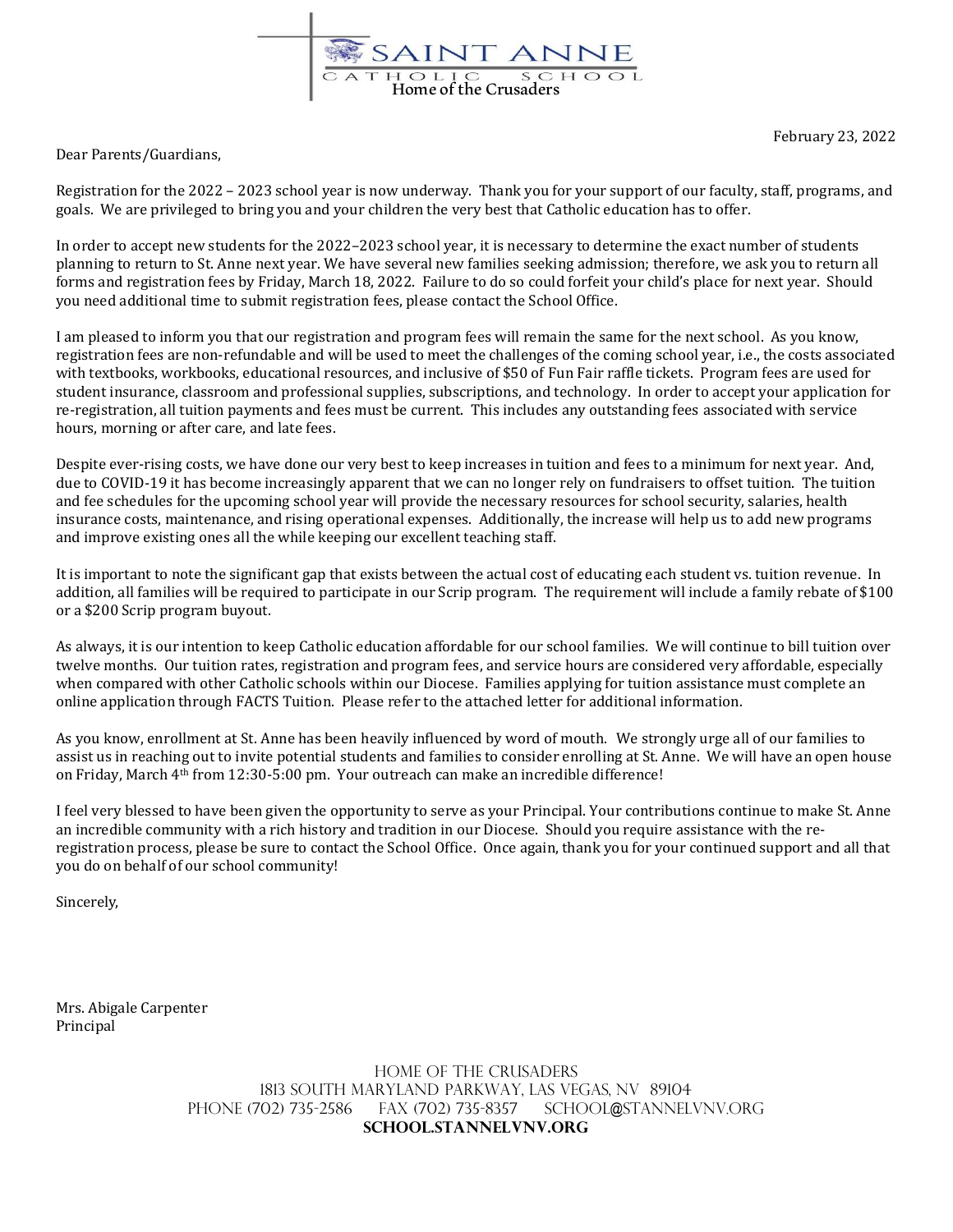

February 23, 2022

Dear Parents/Guardians,

Registration for the 2022 – 2023 school year is now underway. Thank you for your support of our faculty, staff, programs, and goals. We are privileged to bring you and your children the very best that Catholic education has to offer.

In order to accept new students for the 2022–2023 school year, it is necessary to determine the exact number of students planning to return to St. Anne next year. We have several new families seeking admission; therefore, we ask you to return all forms and registration fees by Friday, March 18, 2022. Failure to do so could forfeit your child's place for next year. Should you need additional time to submit registration fees, please contact the School Office.

I am pleased to inform you that our registration and program fees will remain the same for the next school. As you know, registration fees are non-refundable and will be used to meet the challenges of the coming school year, i.e., the costs associated with textbooks, workbooks, educational resources, and inclusive of \$50 of Fun Fair raffle tickets. Program fees are used for student insurance, classroom and professional supplies, subscriptions, and technology. In order to accept your application for re-registration, all tuition payments and fees must be current. This includes any outstanding fees associated with service hours, morning or after care, and late fees.

Despite ever-rising costs, we have done our very best to keep increases in tuition and fees to a minimum for next year. And, due to COVID-19 it has become increasingly apparent that we can no longer rely on fundraisers to offset tuition. The tuition and fee schedules for the upcoming school year will provide the necessary resources for school security, salaries, health insurance costs, maintenance, and rising operational expenses. Additionally, the increase will help us to add new programs and improve existing ones all the while keeping our excellent teaching staff.

It is important to note the significant gap that exists between the actual cost of educating each student vs. tuition revenue. In addition, all families will be required to participate in our Scrip program. The requirement will include a family rebate of \$100 or a \$200 Scrip program buyout.

As always, it is our intention to keep Catholic education affordable for our school families. We will continue to bill tuition over twelve months. Our tuition rates, registration and program fees, and service hours are considered very affordable, especially when compared with other Catholic schools within our Diocese. Families applying for tuition assistance must complete an online application throug[h FACTS Tuition.](https://online.factsmgt.com/signin/4CSTR) Please refer to the attached letter for additional information.

As you know, enrollment at St. Anne has been heavily influenced by word of mouth. We strongly urge all of our families to assist us in reaching out to invite potential students and families to consider enrolling at St. Anne. We will have an open house on Friday, March 4th from 12:30-5:00 pm. Your outreach can make an incredible difference!

I feel very blessed to have been given the opportunity to serve as your Principal. Your contributions continue to make St. Anne an incredible community with a rich history and tradition in our Diocese. Should you require assistance with the reregistration process, please be sure to contact the School Office. Once again, thank you for your continued support and all that you do on behalf of our school community!

Sincerely,

Mrs. Abigale Carpenter Principal

> Home of the Crusaders 1813 South Maryland Parkway, Las Vegas, NV 89104 PHONE (702) 735-2586 FAX (702) 735-8357 SCHOOL@STANNELVNV.ORG **school.stannelvnv.org**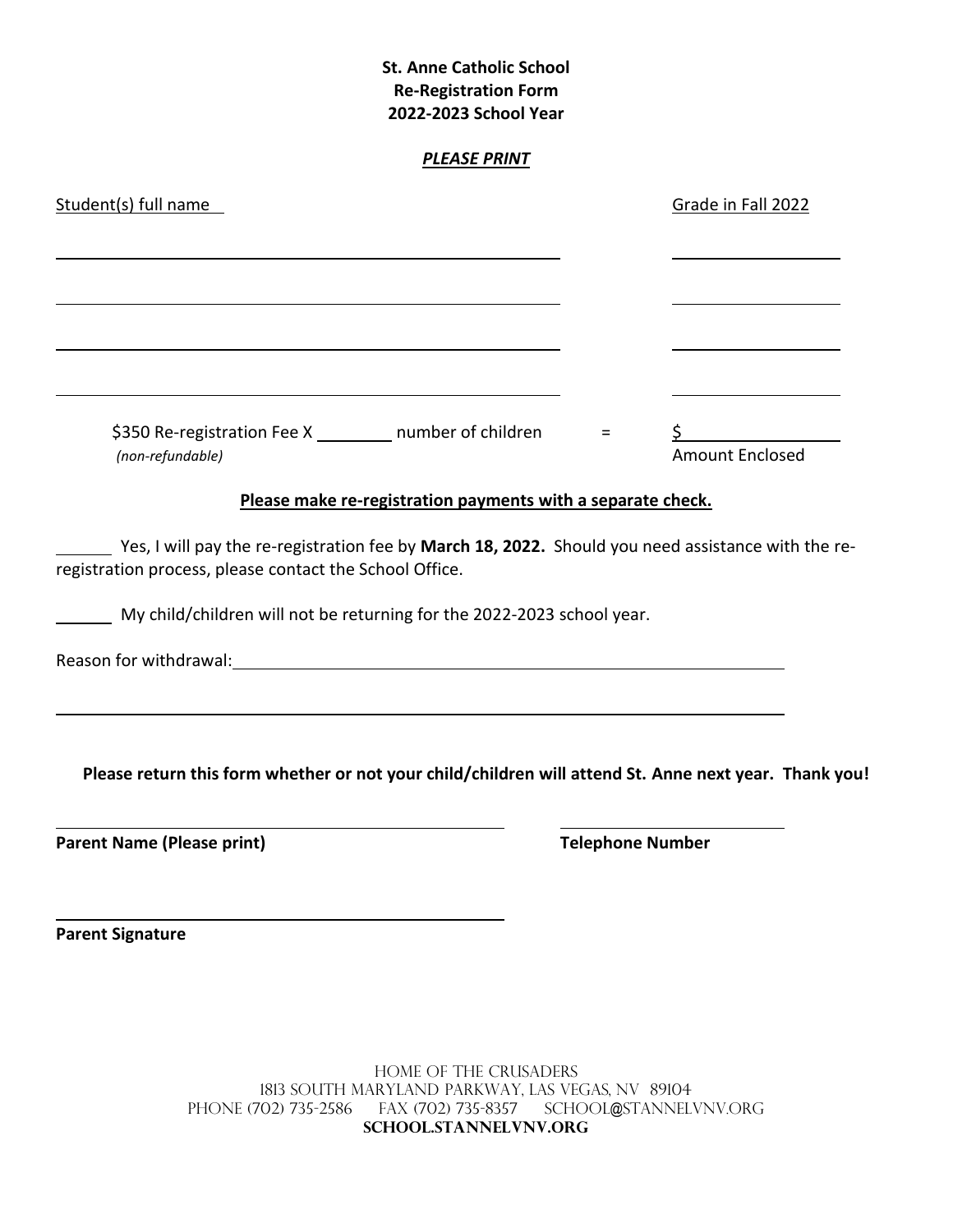| <b>St. Anne Catholic School</b><br><b>Re-Registration Form</b><br>2022-2023 School Year                                                                                                                                        |                         |                        |
|--------------------------------------------------------------------------------------------------------------------------------------------------------------------------------------------------------------------------------|-------------------------|------------------------|
| <b>PLEASE PRINT</b>                                                                                                                                                                                                            |                         |                        |
| Student(s) full name                                                                                                                                                                                                           |                         | Grade in Fall 2022     |
|                                                                                                                                                                                                                                |                         |                        |
|                                                                                                                                                                                                                                |                         |                        |
|                                                                                                                                                                                                                                |                         |                        |
| \$350 Re-registration Fee X _______ number of children<br>(non-refundable)                                                                                                                                                     | $\equiv$                | <b>Amount Enclosed</b> |
| Please make re-registration payments with a separate check.                                                                                                                                                                    |                         |                        |
| Yes, I will pay the re-registration fee by March 18, 2022. Should you need assistance with the re-<br>registration process, please contact the School Office.                                                                  |                         |                        |
| My child/children will not be returning for the 2022-2023 school year.                                                                                                                                                         |                         |                        |
| Reason for withdrawal: Note that the set of the set of the set of the set of the set of the set of the set of the set of the set of the set of the set of the set of the set of the set of the set of the set of the set of th |                         |                        |
| Please return this form whether or not your child/children will attend St. Anne next year. Thank you!                                                                                                                          |                         |                        |
| <b>Parent Name (Please print)</b>                                                                                                                                                                                              | <b>Telephone Number</b> |                        |
|                                                                                                                                                                                                                                |                         |                        |

**Parent Signature**

Home of the Crusaders 1813 South Maryland Parkway, Las Vegas, NV 89104 Phone (702) 735-2586 Fax (702) 735-8357 School@stannelvnv.org **school.stannelvnv.org**